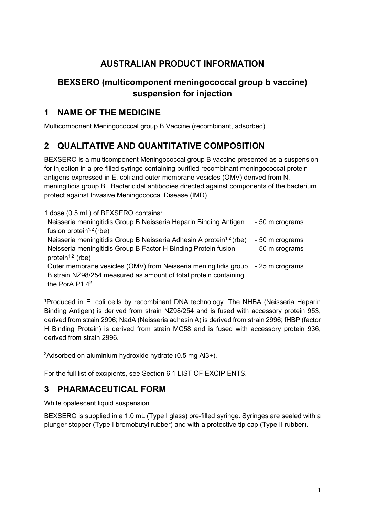## **AUSTRALIAN PRODUCT INFORMATION**

# **BEXSERO (multicomponent meningococcal group b vaccine) suspension for injection**

# **1 NAME OF THE MEDICINE**

Multicomponent Meningococcal group B Vaccine (recombinant, adsorbed)

# **2 QUALITATIVE AND QUANTITATIVE COMPOSITION**

BEXSERO is a multicomponent Meningococcal group B vaccine presented as a suspension for injection in a pre-filled syringe containing purified recombinant meningococcal protein antigens expressed in E. coli and outer membrane vesicles (OMV) derived from N. meningitidis group B. Bactericidal antibodies directed against components of the bacterium protect against Invasive Meningococcal Disease (IMD).

1 dose (0.5 mL) of BEXSERO contains: Neisseria meningitidis Group B Neisseria Heparin Binding Antigen fusion protein<sup> $1,2$ </sup> (rbe) - 50 micrograms Neisseria meningitidis Group B Neisseria Adhesin A protein<sup>1,2</sup> (rbe) - 50 micrograms Neisseria meningitidis Group B Factor H Binding Protein fusion protein<sup> $1,2$ </sup> (rbe) - 50 micrograms Outer membrane vesicles (OMV) from Neisseria meningitidis group - 25 micrograms B strain NZ98/254 measured as amount of total protein containing the PorA P1.42

<sup>1</sup>Produced in E. coli cells by recombinant DNA technology. The NHBA (Neisseria Heparin Binding Antigen) is derived from strain NZ98/254 and is fused with accessory protein 953, derived from strain 2996; NadA (Neisseria adhesin A) is derived from strain 2996; fHBP (factor H Binding Protein) is derived from strain MC58 and is fused with accessory protein 936, derived from strain 2996.

2 Adsorbed on aluminium hydroxide hydrate (0.5 mg Al3+).

For the full list of excipients, see Section 6.1 LIST OF EXCIPIENTS.

# **3 PHARMACEUTICAL FORM**

White opalescent liquid suspension.

BEXSERO is supplied in a 1.0 mL (Type I glass) pre-filled syringe. Syringes are sealed with a plunger stopper (Type I bromobutyl rubber) and with a protective tip cap (Type II rubber).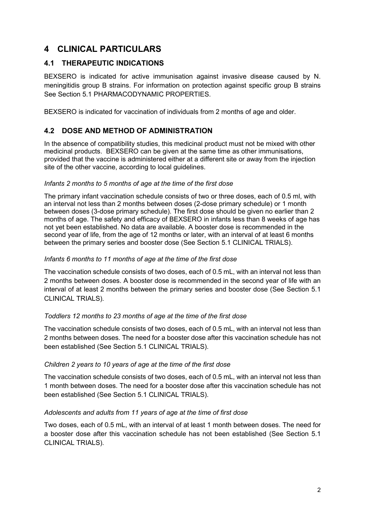## **4 CLINICAL PARTICULARS**

### **4.1 THERAPEUTIC INDICATIONS**

BEXSERO is indicated for active immunisation against invasive disease caused by N. meningitidis group B strains. For information on protection against specific group B strains See Section 5.1 PHARMACODYNAMIC PROPERTIES

BEXSERO is indicated for vaccination of individuals from 2 months of age and older.

## **4.2 DOSE AND METHOD OF ADMINISTRATION**

In the absence of compatibility studies, this medicinal product must not be mixed with other medicinal products. BEXSERO can be given at the same time as other immunisations, provided that the vaccine is administered either at a different site or away from the injection site of the other vaccine, according to local guidelines.

#### *Infants 2 months to 5 months of age at the time of the first dose*

The primary infant vaccination schedule consists of two or three doses, each of 0.5 ml, with an interval not less than 2 months between doses (2-dose primary schedule) or 1 month between doses (3-dose primary schedule). The first dose should be given no earlier than 2 months of age. The safety and efficacy of BEXSERO in infants less than 8 weeks of age has not yet been established. No data are available. A booster dose is recommended in the second year of life, from the age of 12 months or later, with an interval of at least 6 months between the primary series and booster dose (See Section 5.1 CLINICAL TRIALS).

#### *Infants 6 months to 11 months of age at the time of the first dose*

The vaccination schedule consists of two doses, each of 0.5 mL, with an interval not less than 2 months between doses. A booster dose is recommended in the second year of life with an interval of at least 2 months between the primary series and booster dose (See Section 5.1 CLINICAL TRIALS).

#### *Toddlers 12 months to 23 months of age at the time of the first dose*

The vaccination schedule consists of two doses, each of 0.5 mL, with an interval not less than 2 months between doses. The need for a booster dose after this vaccination schedule has not been established (See Section 5.1 CLINICAL TRIALS).

#### *Children 2 years to 10 years of age at the time of the first dose*

The vaccination schedule consists of two doses, each of 0.5 mL, with an interval not less than 1 month between doses. The need for a booster dose after this vaccination schedule has not been established (See Section 5.1 CLINICAL TRIALS).

#### *Adolescents and adults from 11 years of age at the time of first dose*

Two doses, each of 0.5 mL, with an interval of at least 1 month between doses. The need for a booster dose after this vaccination schedule has not been established (See Section 5.1 CLINICAL TRIALS).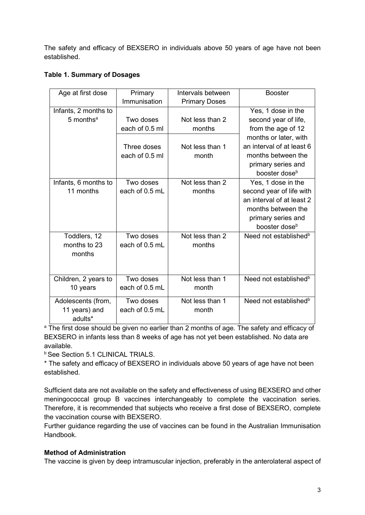The safety and efficacy of BEXSERO in individuals above 50 years of age have not been established.

|  |  | <b>Table 1. Summary of Dosages</b> |  |  |
|--|--|------------------------------------|--|--|
|--|--|------------------------------------|--|--|

| Age at first dose       | Primary        | Intervals between    | <b>Booster</b>                    |
|-------------------------|----------------|----------------------|-----------------------------------|
|                         | Immunisation   | <b>Primary Doses</b> |                                   |
| Infants, 2 months to    |                |                      | Yes, 1 dose in the                |
| $5$ months <sup>a</sup> | Two doses      | Not less than 2      | second year of life,              |
|                         | each of 0.5 ml | months               | from the age of 12                |
|                         |                |                      | months or later, with             |
|                         | Three doses    | Not less than 1      | an interval of at least 6         |
|                         | each of 0.5 ml | month                | months between the                |
|                         |                |                      | primary series and                |
|                         |                |                      | booster dose <sup>b</sup>         |
| Infants, 6 months to    | Two doses      | Not less than 2      | Yes, 1 dose in the                |
| 11 months               | each of 0.5 mL | months               | second year of life with          |
|                         |                |                      | an interval of at least 2         |
|                         |                |                      | months between the                |
|                         |                |                      | primary series and                |
|                         |                |                      | booster dose <sup>b</sup>         |
| Toddlers, 12            | Two doses      | Not less than 2      | Need not established <sup>b</sup> |
| months to 23            | each of 0.5 mL | months               |                                   |
| months                  |                |                      |                                   |
|                         |                |                      |                                   |
|                         |                |                      |                                   |
| Children, 2 years to    | Two doses      | Not less than 1      | Need not established <sup>b</sup> |
| 10 years                | each of 0.5 mL | month                |                                   |
| Adolescents (from,      | Two doses      | Not less than 1      | Need not established <sup>b</sup> |
| 11 years) and           | each of 0.5 mL | month                |                                   |
| adults*                 |                |                      |                                   |

<sup>a</sup> The first dose should be given no earlier than 2 months of age. The safety and efficacy of BEXSERO in infants less than 8 weeks of age has not yet been established. No data are available.

**b** See Section 5.1 CLINICAL TRIALS.

\* The safety and efficacy of BEXSERO in individuals above 50 years of age have not been established.

Sufficient data are not available on the safety and effectiveness of using BEXSERO and other meningococcal group B vaccines interchangeably to complete the vaccination series. Therefore, it is recommended that subjects who receive a first dose of BEXSERO, complete the vaccination course with BEXSERO.

Further guidance regarding the use of vaccines can be found in the Australian Immunisation Handbook.

#### **Method of Administration**

The vaccine is given by deep intramuscular injection, preferably in the anterolateral aspect of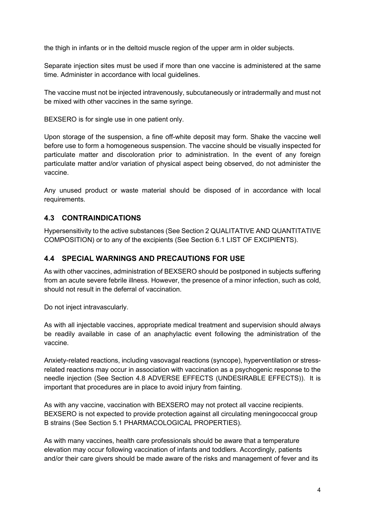the thigh in infants or in the deltoid muscle region of the upper arm in older subjects.

Separate injection sites must be used if more than one vaccine is administered at the same time. Administer in accordance with local guidelines.

The vaccine must not be injected intravenously, subcutaneously or intradermally and must not be mixed with other vaccines in the same syringe.

BEXSERO is for single use in one patient only.

Upon storage of the suspension, a fine off-white deposit may form. Shake the vaccine well before use to form a homogeneous suspension. The vaccine should be visually inspected for particulate matter and discoloration prior to administration. In the event of any foreign particulate matter and/or variation of physical aspect being observed, do not administer the vaccine.

Any unused product or waste material should be disposed of in accordance with local requirements.

## **4.3 CONTRAINDICATIONS**

Hypersensitivity to the active substances (See Section 2 QUALITATIVE AND QUANTITATIVE COMPOSITION) or to any of the excipients (See Section 6.1 LIST OF EXCIPIENTS).

#### **4.4 SPECIAL WARNINGS AND PRECAUTIONS FOR USE**

As with other vaccines, administration of BEXSERO should be postponed in subjects suffering from an acute severe febrile illness. However, the presence of a minor infection, such as cold, should not result in the deferral of vaccination.

Do not inject intravascularly.

As with all injectable vaccines, appropriate medical treatment and supervision should always be readily available in case of an anaphylactic event following the administration of the vaccine.

Anxiety-related reactions, including vasovagal reactions (syncope), hyperventilation or stressrelated reactions may occur in association with vaccination as a psychogenic response to the needle injection (See Section 4.8 ADVERSE EFFECTS (UNDESIRABLE EFFECTS)). It is important that procedures are in place to avoid injury from fainting.

As with any vaccine, vaccination with BEXSERO may not protect all vaccine recipients. BEXSERO is not expected to provide protection against all circulating meningococcal group B strains (See Section 5.1 PHARMACOLOGICAL PROPERTIES).

As with many vaccines, health care professionals should be aware that a temperature elevation may occur following vaccination of infants and toddlers. Accordingly, patients and/or their care givers should be made aware of the risks and management of fever and its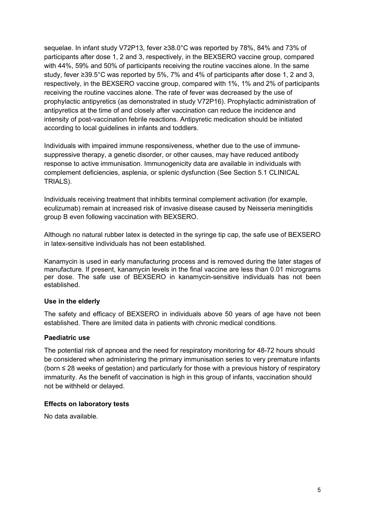sequelae. In infant study V72P13, fever ≥38.0°C was reported by 78%, 84% and 73% of participants after dose 1, 2 and 3, respectively, in the BEXSERO vaccine group, compared with 44%, 59% and 50% of participants receiving the routine vaccines alone. In the same study, fever ≥39.5°C was reported by 5%, 7% and 4% of participants after dose 1, 2 and 3, respectively, in the BEXSERO vaccine group, compared with 1%, 1% and 2% of participants receiving the routine vaccines alone. The rate of fever was decreased by the use of prophylactic antipyretics (as demonstrated in study V72P16). Prophylactic administration of antipyretics at the time of and closely after vaccination can reduce the incidence and intensity of post-vaccination febrile reactions. Antipyretic medication should be initiated according to local guidelines in infants and toddlers.

Individuals with impaired immune responsiveness, whether due to the use of immunesuppressive therapy, a genetic disorder, or other causes, may have reduced antibody response to active immunisation. Immunogenicity data are available in individuals with complement deficiencies, asplenia, or splenic dysfunction (See Section 5.1 CLINICAL TRIALS).

Individuals receiving treatment that inhibits terminal complement activation (for example, eculizumab) remain at increased risk of invasive disease caused by Neisseria meningitidis group B even following vaccination with BEXSERO.

Although no natural rubber latex is detected in the syringe tip cap, the safe use of BEXSERO in latex-sensitive individuals has not been established.

Kanamycin is used in early manufacturing process and is removed during the later stages of manufacture. If present, kanamycin levels in the final vaccine are less than 0.01 micrograms per dose. The safe use of BEXSERO in kanamycin-sensitive individuals has not been established.

#### **Use in the elderly**

The safety and efficacy of BEXSERO in individuals above 50 years of age have not been established. There are limited data in patients with chronic medical conditions.

#### **Paediatric use**

The potential risk of apnoea and the need for respiratory monitoring for 48-72 hours should be considered when administering the primary immunisation series to very premature infants (born ≤ 28 weeks of gestation) and particularly for those with a previous history of respiratory immaturity. As the benefit of vaccination is high in this group of infants, vaccination should not be withheld or delayed.

#### **Effects on laboratory tests**

No data available.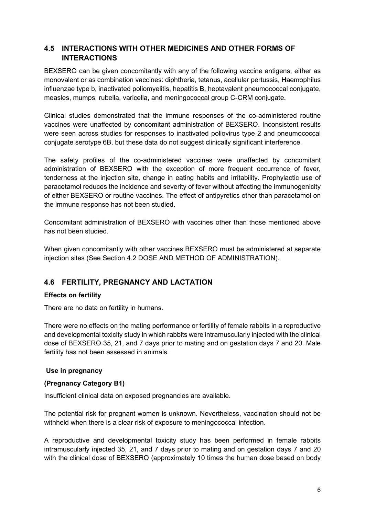## **4.5 INTERACTIONS WITH OTHER MEDICINES AND OTHER FORMS OF INTERACTIONS**

BEXSERO can be given concomitantly with any of the following vaccine antigens, either as monovalent or as combination vaccines: diphtheria, tetanus, acellular pertussis, Haemophilus influenzae type b, inactivated poliomyelitis, hepatitis B, heptavalent pneumococcal conjugate, measles, mumps, rubella, varicella, and meningococcal group C-CRM conjugate.

Clinical studies demonstrated that the immune responses of the co-administered routine vaccines were unaffected by concomitant administration of BEXSERO. Inconsistent results were seen across studies for responses to inactivated poliovirus type 2 and pneumococcal conjugate serotype 6B, but these data do not suggest clinically significant interference.

The safety profiles of the co-administered vaccines were unaffected by concomitant administration of BEXSERO with the exception of more frequent occurrence of fever, tenderness at the injection site, change in eating habits and irritability. Prophylactic use of paracetamol reduces the incidence and severity of fever without affecting the immunogenicity of either BEXSERO or routine vaccines. The effect of antipyretics other than paracetamol on the immune response has not been studied.

Concomitant administration of BEXSERO with vaccines other than those mentioned above has not been studied.

When given concomitantly with other vaccines BEXSERO must be administered at separate injection sites (See Section 4.2 DOSE AND METHOD OF ADMINISTRATION).

## **4.6 FERTILITY, PREGNANCY AND LACTATION**

#### **Effects on fertility**

There are no data on fertility in humans.

There were no effects on the mating performance or fertility of female rabbits in a reproductive and developmental toxicity study in which rabbits were intramuscularly injected with the clinical dose of BEXSERO 35, 21, and 7 days prior to mating and on gestation days 7 and 20. Male fertility has not been assessed in animals.

#### **Use in pregnancy**

#### **(Pregnancy Category B1)**

Insufficient clinical data on exposed pregnancies are available.

The potential risk for pregnant women is unknown. Nevertheless, vaccination should not be withheld when there is a clear risk of exposure to meningococcal infection.

A reproductive and developmental toxicity study has been performed in female rabbits intramuscularly injected 35, 21, and 7 days prior to mating and on gestation days 7 and 20 with the clinical dose of BEXSERO (approximately 10 times the human dose based on body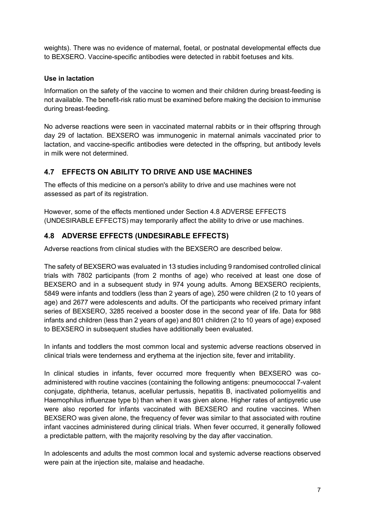weights). There was no evidence of maternal, foetal, or postnatal developmental effects due to BEXSERO. Vaccine-specific antibodies were detected in rabbit foetuses and kits.

#### **Use in lactation**

Information on the safety of the vaccine to women and their children during breast-feeding is not available. The benefit-risk ratio must be examined before making the decision to immunise during breast-feeding.

No adverse reactions were seen in vaccinated maternal rabbits or in their offspring through day 29 of lactation. BEXSERO was immunogenic in maternal animals vaccinated prior to lactation, and vaccine-specific antibodies were detected in the offspring, but antibody levels in milk were not determined.

## **4.7 EFFECTS ON ABILITY TO DRIVE AND USE MACHINES**

The effects of this medicine on a person's ability to drive and use machines were not assessed as part of its registration.

However, some of the effects mentioned under Section 4.8 ADVERSE EFFECTS (UNDESIRABLE EFFECTS) may temporarily affect the ability to drive or use machines.

## **4.8 ADVERSE EFFECTS (UNDESIRABLE EFFECTS)**

Adverse reactions from clinical studies with the BEXSERO are described below.

The safety of BEXSERO was evaluated in 13 studies including 9 randomised controlled clinical trials with 7802 participants (from 2 months of age) who received at least one dose of BEXSERO and in a subsequent study in 974 young adults. Among BEXSERO recipients, 5849 were infants and toddlers (less than 2 years of age), 250 were children (2 to 10 years of age) and 2677 were adolescents and adults. Of the participants who received primary infant series of BEXSERO, 3285 received a booster dose in the second year of life. Data for 988 infants and children (less than 2 years of age) and 801 children (2 to 10 years of age) exposed to BEXSERO in subsequent studies have additionally been evaluated.

In infants and toddlers the most common local and systemic adverse reactions observed in clinical trials were tenderness and erythema at the injection site, fever and irritability.

In clinical studies in infants, fever occurred more frequently when BEXSERO was coadministered with routine vaccines (containing the following antigens: pneumococcal 7-valent conjugate, diphtheria, tetanus, acellular pertussis, hepatitis B, inactivated poliomyelitis and Haemophilus influenzae type b) than when it was given alone. Higher rates of antipyretic use were also reported for infants vaccinated with BEXSERO and routine vaccines. When BEXSERO was given alone, the frequency of fever was similar to that associated with routine infant vaccines administered during clinical trials. When fever occurred, it generally followed a predictable pattern, with the majority resolving by the day after vaccination.

In adolescents and adults the most common local and systemic adverse reactions observed were pain at the injection site, malaise and headache.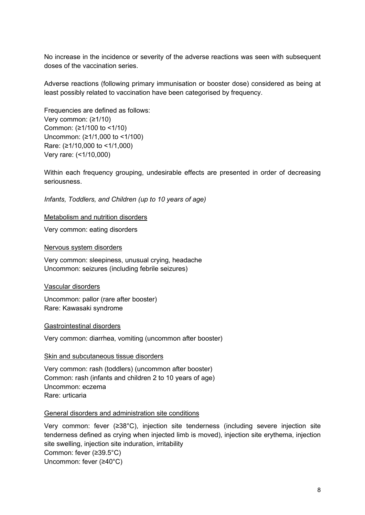No increase in the incidence or severity of the adverse reactions was seen with subsequent doses of the vaccination series.

Adverse reactions (following primary immunisation or booster dose) considered as being at least possibly related to vaccination have been categorised by frequency.

Frequencies are defined as follows: Very common: (≥1/10) Common: (≥1/100 to <1/10) Uncommon: (≥1/1,000 to <1/100) Rare: (≥1/10,000 to <1/1,000) Very rare: (<1/10,000)

Within each frequency grouping, undesirable effects are presented in order of decreasing seriousness.

*Infants, Toddlers, and Children (up to 10 years of age)*

Metabolism and nutrition disorders

Very common: eating disorders

Nervous system disorders

Very common: sleepiness, unusual crying, headache Uncommon: seizures (including febrile seizures)

Vascular disorders

Uncommon: pallor (rare after booster) Rare: Kawasaki syndrome

Gastrointestinal disorders

Very common: diarrhea, vomiting (uncommon after booster)

#### Skin and subcutaneous tissue disorders

Very common: rash (toddlers) (uncommon after booster) Common: rash (infants and children 2 to 10 years of age) Uncommon: eczema Rare: urticaria

#### General disorders and administration site conditions

Very common: fever (≥38°C), injection site tenderness (including severe injection site tenderness defined as crying when injected limb is moved), injection site erythema, injection site swelling, injection site induration, irritability Common: fever (≥39.5°C) Uncommon: fever (≥40°C)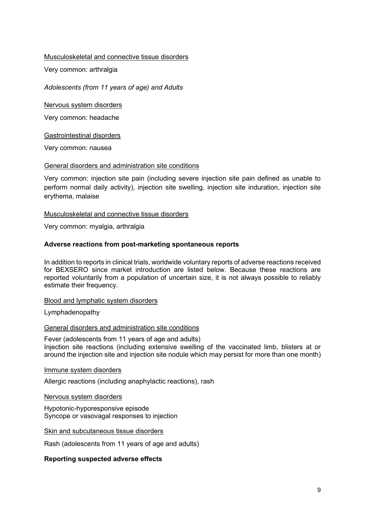#### Musculoskeletal and connective tissue disorders

Very common: arthralgia

*Adolescents (from 11 years of age) and Adults*

Nervous system disorders

Very common: headache

Gastrointestinal disorders

Very common: nausea

#### General disorders and administration site conditions

Very common: injection site pain (including severe injection site pain defined as unable to perform normal daily activity), injection site swelling, injection site induration, injection site erythema, malaise

#### Musculoskeletal and connective tissue disorders

Very common: myalgia, arthralgia

#### **Adverse reactions from post-marketing spontaneous reports**

In addition to reports in clinical trials, worldwide voluntary reports of adverse reactions received for BEXSERO since market introduction are listed below. Because these reactions are reported voluntarily from a population of uncertain size, it is not always possible to reliably estimate their frequency.

#### Blood and lymphatic system disorders

Lymphadenopathy

#### General disorders and administration site conditions

Fever (adolescents from 11 years of age and adults) Injection site reactions (including extensive swelling of the vaccinated limb, blisters at or around the injection site and injection site nodule which may persist for more than one month)

#### Immune system disorders

Allergic reactions (including anaphylactic reactions), rash

Nervous system disorders

Hypotonic-hyporesponsive episode Syncope or vasovagal responses to injection

Skin and subcutaneous tissue disorders

Rash (adolescents from 11 years of age and adults)

#### **Reporting suspected adverse effects**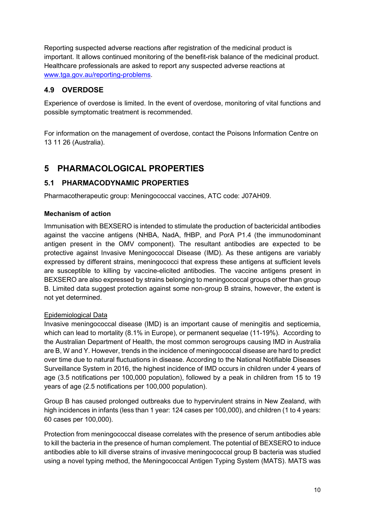Reporting suspected adverse reactions after registration of the medicinal product is important. It allows continued monitoring of the benefit-risk balance of the medicinal product. Healthcare professionals are asked to report any suspected adverse reactions at [www.tga.gov.au/reporting-problems.](http://www.tga.gov.au/reporting-problems)

## **4.9 OVERDOSE**

Experience of overdose is limited. In the event of overdose, monitoring of vital functions and possible symptomatic treatment is recommended.

For information on the management of overdose, contact the Poisons Information Centre on 13 11 26 (Australia).

# **5 PHARMACOLOGICAL PROPERTIES**

## **5.1 PHARMACODYNAMIC PROPERTIES**

Pharmacotherapeutic group: Meningococcal vaccines, ATC code: J07AH09.

#### **Mechanism of action**

Immunisation with BEXSERO is intended to stimulate the production of bactericidal antibodies against the vaccine antigens (NHBA, NadA, fHBP, and PorA P1.4 (the immunodominant antigen present in the OMV component). The resultant antibodies are expected to be protective against Invasive Meningococcal Disease (IMD). As these antigens are variably expressed by different strains, meningococci that express these antigens at sufficient levels are susceptible to killing by vaccine-elicited antibodies. The vaccine antigens present in BEXSERO are also expressed by strains belonging to meningococcal groups other than group B. Limited data suggest protection against some non-group B strains, however, the extent is not yet determined.

#### Epidemiological Data

Invasive meningococcal disease (IMD) is an important cause of meningitis and septicemia, which can lead to mortality (8.1% in Europe), or permanent sequelae (11-19%). According to the Australian Department of Health, the most common serogroups causing IMD in Australia are B, W and Y. However, trends in the incidence of meningococcal disease are hard to predict over time due to natural fluctuations in disease. According to the National Notifiable Diseases Surveillance System in 2016, the highest incidence of IMD occurs in children under 4 years of age (3.5 notifications per 100,000 population), followed by a peak in children from 15 to 19 years of age (2.5 notifications per 100,000 population).

Group B has caused prolonged outbreaks due to hypervirulent strains in New Zealand, with high incidences in infants (less than 1 year: 124 cases per 100,000), and children (1 to 4 years: 60 cases per 100,000).

Protection from meningococcal disease correlates with the presence of serum antibodies able to kill the bacteria in the presence of human complement. The potential of BEXSERO to induce antibodies able to kill diverse strains of invasive meningococcal group B bacteria was studied using a novel typing method, the Meningococcal Antigen Typing System (MATS). MATS was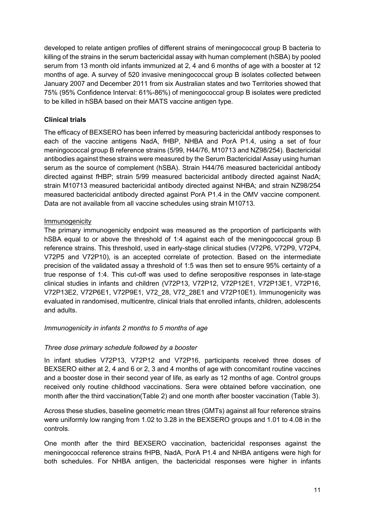developed to relate antigen profiles of different strains of meningococcal group B bacteria to killing of the strains in the serum bactericidal assay with human complement (hSBA) by pooled serum from 13 month old infants immunized at 2, 4 and 6 months of age with a booster at 12 months of age. A survey of 520 invasive meningococcal group B isolates collected between January 2007 and December 2011 from six Australian states and two Territories showed that 75% (95% Confidence Interval: 61%-86%) of meningococcal group B isolates were predicted to be killed in hSBA based on their MATS vaccine antigen type.

#### **Clinical trials**

The efficacy of BEXSERO has been inferred by measuring bactericidal antibody responses to each of the vaccine antigens NadA, fHBP, NHBA and PorA P1.4, using a set of four meningococcal group B reference strains (5/99, H44/76, M10713 and NZ98/254). Bactericidal antibodies against these strains were measured by the Serum Bactericidal Assay using human serum as the source of complement (hSBA). Strain H44/76 measured bactericidal antibody directed against fHBP; strain 5/99 measured bactericidal antibody directed against NadA; strain M10713 measured bactericidal antibody directed against NHBA; and strain NZ98/254 measured bactericidal antibody directed against PorA P1.4 in the OMV vaccine component. Data are not available from all vaccine schedules using strain M10713.

#### Immunogenicity

The primary immunogenicity endpoint was measured as the proportion of participants with hSBA equal to or above the threshold of 1:4 against each of the meningococcal group B reference strains. This threshold, used in early-stage clinical studies (V72P6, V72P9, V72P4, V72P5 and V72P10), is an accepted correlate of protection. Based on the intermediate precision of the validated assay a threshold of 1:5 was then set to ensure 95% certainty of a true response of 1:4. This cut-off was used to define seropositive responses in late-stage clinical studies in infants and children (V72P13, V72P12, V72P12E1, V72P13E1, V72P16, V72P13E2, V72P6E1, V72P9E1, V72\_28, V72\_28E1 and V72P10E1). Immunogenicity was evaluated in randomised, multicentre, clinical trials that enrolled infants, children, adolescents and adults.

#### *Immunogenicity in infants 2 months to 5 months of age*

#### *Three dose primary schedule followed by a booster*

In infant studies V72P13, V72P12 and V72P16, participants received three doses of BEXSERO either at 2, 4 and 6 or 2, 3 and 4 months of age with concomitant routine vaccines and a booster dose in their second year of life, as early as 12 months of age. Control groups received only routine childhood vaccinations. Sera were obtained before vaccination, one month after the third vaccination(Table 2) and one month after booster vaccination (Table 3).

Across these studies, baseline geometric mean titres (GMTs) against all four reference strains were uniformly low ranging from 1.02 to 3.28 in the BEXSERO groups and 1.01 to 4.08 in the controls.

One month after the third BEXSERO vaccination, bactericidal responses against the meningococcal reference strains fHPB, NadA, PorA P1.4 and NHBA antigens were high for both schedules. For NHBA antigen, the bactericidal responses were higher in infants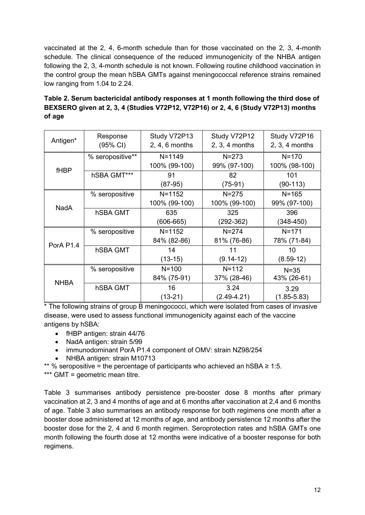vaccinated at the 2, 4, 6-month schedule than for those vaccinated on the 2, 3, 4-month schedule. The clinical consequence of the reduced immunogenicity of the NHBA antigen following the 2, 3, 4-month schedule is not known. Following routine childhood vaccination in the control group the mean hSBA GMTs against meningococcal reference strains remained low ranging from 1.04 to 2.24.

| Table 2. Serum bactericidal antibody responses at 1 month following the third dose of |
|---------------------------------------------------------------------------------------|
| BEXSERO given at 2, 3, 4 (Studies V72P12, V72P16) or 2, 4, 6 (Study V72P13) months    |
| of age                                                                                |

| Antigen*              | Response<br>(95% CI) | Study V72P13<br>$2, 4, 6$ months | Study V72P12<br>2, 3, 4 months | Study V72P16<br>$2, 3, 4$ months |
|-----------------------|----------------------|----------------------------------|--------------------------------|----------------------------------|
| fHBP                  | % seropositive**     | $N = 1149$<br>100% (99-100)      | $N = 273$<br>99% (97-100)      | $N = 170$<br>100% (98-100)       |
|                       | hSBA GMT***          | 91<br>$(87-95)$                  | 82<br>$(75-91)$                | 101<br>$(90-113)$                |
| <b>NadA</b>           | % seropositive       | $N = 1152$<br>100% (99-100)      | $N = 275$<br>100% (99-100)     | $N = 165$<br>99% (97-100)        |
|                       | hSBA GMT             | 635<br>(606-665)                 | 325<br>$(292-362)$             | 396<br>$(348 - 450)$             |
| PorA P <sub>1.4</sub> | % seropositive       | $N = 1152$<br>84% (82-86)        | $N = 274$<br>81% (76-86)       | $N = 171$<br>78% (71-84)         |
|                       | hSBA GMT             | 14<br>$(13-15)$                  | 11<br>$(9.14 - 12)$            | 10<br>$(8.59-12)$                |
| <b>NHBA</b>           | % seropositive       | $N = 100$<br>84% (75-91)         | $N = 112$<br>37% (28-46)       | $N = 35$<br>43% (26-61)          |
|                       | hSBA GMT             | 16<br>$(13-21)$                  | 3.24<br>$(2.49 - 4.21)$        | 3.29<br>$(1.85 - 5.83)$          |

\* The following strains of group B meningococci, which were isolated from cases of invasive disease, were used to assess functional immunogenicity against each of the vaccine antigens by hSBA:

- fHBP antigen: strain 44/76
- NadA antigen: strain 5/99
- immunodominant PorA P1.4 component of OMV: strain NZ98/254
- NHBA antigen: strain M10713
- \*\* % seropositive = the percentage of participants who achieved an hSBA ≥ 1:5.

\*\*\* GMT = geometric mean titre.

Table 3 summarises antibody persistence pre-booster dose 8 months after primary vaccination at 2, 3 and 4 months of age and at 6 months after vaccination at 2,4 and 6 months of age. Table 3 also summarises an antibody response for both regimens one month after a booster dose administered at 12 months of age, and antibody persistence 12 months after the booster dose for the 2, 4 and 6 month regimen. Seroprotection rates and hSBA GMTs one month following the fourth dose at 12 months were indicative of a booster response for both regimens.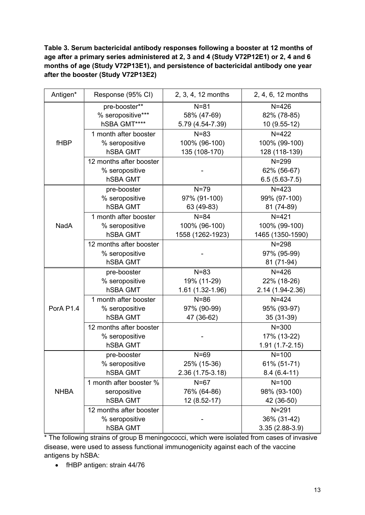**Table 3. Serum bactericidal antibody responses following a booster at 12 months of age after a primary series administered at 2, 3 and 4 (Study V72P12E1) or 2, 4 and 6 months of age (Study V72P13E1), and persistence of bactericidal antibody one year after the booster (Study V72P13E2)**

| Antigen*    | Response (95% CI)                                            | 2, 3, 4, 12 months                            | 2, 4, 6, 12 months                             |
|-------------|--------------------------------------------------------------|-----------------------------------------------|------------------------------------------------|
|             | pre-booster**<br>% seropositive***<br>hSBA GMT****           | $N = 81$<br>58% (47-69)<br>5.79 (4.54-7.39)   | $N = 426$<br>82% (78-85)<br>10 (9.55-12)       |
| fHBP        | 1 month after booster<br>% seropositive<br><b>hSBA GMT</b>   | $N = 83$<br>100% (96-100)<br>135 (108-170)    | $N = 422$<br>100% (99-100)<br>128 (118-139)    |
|             | 12 months after booster<br>% seropositive<br><b>hSBA GMT</b> |                                               | $N = 299$<br>62% (56-67)<br>$6.5(5.63 - 7.5)$  |
|             | pre-booster<br>% seropositive<br><b>hSBA GMT</b>             | $N=79$<br>97% (91-100)<br>63 (49-83)          | $N = 423$<br>99% (97-100)<br>81 (74-89)        |
| <b>NadA</b> | 1 month after booster<br>% seropositive<br><b>hSBA GMT</b>   | $N = 84$<br>100% (96-100)<br>1558 (1262-1923) | $N = 421$<br>100% (99-100)<br>1465 (1350-1590) |
|             | 12 months after booster<br>% seropositive<br><b>hSBA GMT</b> |                                               | $N = 298$<br>97% (95-99)<br>81 (71-94)         |
| PorA P1.4   | pre-booster<br>% seropositive<br><b>hSBA GMT</b>             | $N = 83$<br>19% (11-29)<br>1.61 (1.32-1.96)   | $N = 426$<br>22% (18-26)<br>2.14 (1.94-2.36)   |
|             | 1 month after booster<br>% seropositive<br><b>hSBA GMT</b>   | $N = 86$<br>97% (90-99)<br>47 (36-62)         | $N = 424$<br>95% (93-97)<br>35 (31-39)         |
|             | 12 months after booster<br>% seropositive<br>hSBA GMT        |                                               | $N = 300$<br>17% (13-22)<br>$1.91(1.7-2.15)$   |
|             | pre-booster<br>% seropositive<br><b>hSBA GMT</b>             | $N = 69$<br>25% (15-36)<br>2.36 (1.75-3.18)   | $N = 100$<br>61% (51-71)<br>$8.4(6.4-11)$      |
| <b>NHBA</b> | 1 month after booster %<br>seropositive<br>hSBA GMT          | $N=67$<br>76% (64-86)<br>12 (8.52-17)         | $N = 100$<br>98% (93-100)<br>42 (36-50)        |
|             | 12 months after booster<br>% seropositive<br>hSBA GMT        |                                               | $N = 291$<br>36% (31-42)<br>$3.35(2.88-3.9)$   |

\* The following strains of group B meningococci, which were isolated from cases of invasive disease, were used to assess functional immunogenicity against each of the vaccine antigens by hSBA:

• fHBP antigen: strain 44/76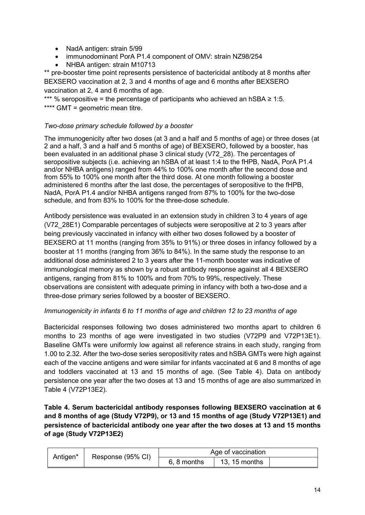- NadA antigen: strain 5/99
- immunodominant PorA P1.4 component of OMV: strain NZ98/254
- NHBA antigen: strain M10713

\*\* pre-booster time point represents persistence of bactericidal antibody at 8 months after BEXSERO vaccination at 2, 3 and 4 months of age and 6 months after BEXSERO vaccination at 2, 4 and 6 months of age.

\*\*\* % seropositive = the percentage of participants who achieved an hSBA  $\geq 1:5$ . \*\*\*\* GMT = geometric mean titre.

#### *Two-dose primary schedule followed by a booster*

The immunogenicity after two doses (at 3 and a half and 5 months of age) or three doses (at 2 and a half, 3 and a half and 5 months of age) of BEXSERO, followed by a booster, has been evaluated in an additional phase 3 clinical study (V72\_28). The percentages of seropositive subjects (i.e. achieving an hSBA of at least 1:4 to the fHPB, NadA, PorA P1.4 and/or NHBA antigens) ranged from 44% to 100% one month after the second dose and from 55% to 100% one month after the third dose. At one month following a booster administered 6 months after the last dose, the percentages of seropositive to the fHPB, NadA, PorA P1.4 and/or NHBA antigens ranged from 87% to 100% for the two-dose schedule, and from 83% to 100% for the three-dose schedule.

Antibody persistence was evaluated in an extension study in children 3 to 4 years of age (V72\_28E1) Comparable percentages of subjects were seropositive at 2 to 3 years after being previously vaccinated in infancy with either two doses followed by a booster of BEXSERO at 11 months (ranging from 35% to 91%) or three doses in infancy followed by a booster at 11 months (ranging from 36% to 84%). In the same study the response to an additional dose administered 2 to 3 years after the 11-month booster was indicative of immunological memory as shown by a robust antibody response against all 4 BEXSERO antigens, ranging from 81% to 100% and from 70% to 99%, respectively. These observations are consistent with adequate priming in infancy with both a two-dose and a three-dose primary series followed by a booster of BEXSERO.

#### *Immunogenicity in infants 6 to 11 months of age and children 12 to 23 months of age*

Bactericidal responses following two doses administered two months apart to children 6 months to 23 months of age were investigated in two studies (V72P9 and V72P13E1). Baseline GMTs were uniformly low against all reference strains in each study, ranging from 1.00 to 2.32. After the two-dose series seropositivity rates and hSBA GMTs were high against each of the vaccine antigens and were similar for infants vaccinated at 6 and 8 months of age and toddlers vaccinated at 13 and 15 months of age. (See Table 4). Data on antibody persistence one year after the two doses at 13 and 15 months of age are also summarized in Table 4 (V72P13E2).

### **Table 4. Serum bactericidal antibody responses following BEXSERO vaccination at 6 and 8 months of age (Study V72P9), or 13 and 15 months of age (Study V72P13E1) and persistence of bactericidal antibody one year after the two doses at 13 and 15 months of age (Study V72P13E2)**

| Antigen* | Response (95% CI) | Age of vaccination |                 |  |
|----------|-------------------|--------------------|-----------------|--|
|          |                   | 6, 8 months        | $13, 15$ months |  |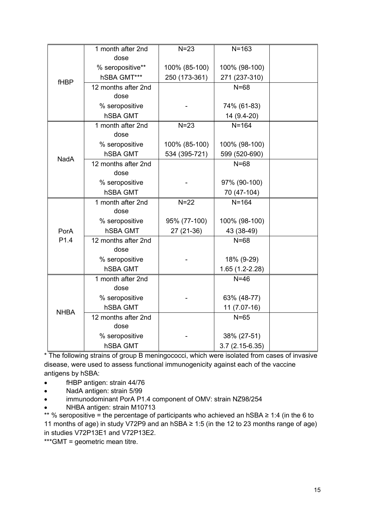|             | 1 month after 2nd   | $N = 23$      | $N = 163$        |  |
|-------------|---------------------|---------------|------------------|--|
|             | dose                |               |                  |  |
|             | % seropositive**    | 100% (85-100) | 100% (98-100)    |  |
| fHBP        | hSBA GMT***         | 250 (173-361) | 271 (237-310)    |  |
|             | 12 months after 2nd |               | $N = 68$         |  |
|             | dose                |               |                  |  |
|             | % seropositive      |               | 74% (61-83)      |  |
|             | <b>hSBA GMT</b>     |               | 14 (9.4-20)      |  |
|             | 1 month after 2nd   | $N = 23$      | $N = 164$        |  |
|             | dose                |               |                  |  |
|             | % seropositive      | 100% (85-100) | 100% (98-100)    |  |
| <b>NadA</b> | <b>hSBA GMT</b>     | 534 (395-721) | 599 (520-690)    |  |
|             | 12 months after 2nd |               | $N = 68$         |  |
|             | dose                |               |                  |  |
|             | % seropositive      |               | 97% (90-100)     |  |
|             | <b>hSBA GMT</b>     |               | 70 (47-104)      |  |
|             | 1 month after 2nd   | $N=22$        | $N = 164$        |  |
|             | dose                |               |                  |  |
|             | % seropositive      | 95% (77-100)  | 100% (98-100)    |  |
| PorA        | <b>hSBA GMT</b>     | 27 (21-36)    | 43 (38-49)       |  |
| P1.4        | 12 months after 2nd |               | $N = 68$         |  |
|             | dose                |               |                  |  |
|             | % seropositive      |               | 18% (9-29)       |  |
|             | <b>hSBA GMT</b>     |               | 1.65 (1.2-2.28)  |  |
|             | 1 month after 2nd   |               | $N=46$           |  |
|             | dose                |               |                  |  |
|             | % seropositive      |               | 63% (48-77)      |  |
|             | <b>hSBA GMT</b>     |               | 11 (7.07-16)     |  |
| <b>NHBA</b> | 12 months after 2nd |               | $N=65$           |  |
|             | dose                |               |                  |  |
|             | % seropositive      |               | 38% (27-51)      |  |
|             | <b>hSBA GMT</b>     |               | $3.7(2.15-6.35)$ |  |

\* The following strains of group B meningococci, which were isolated from cases of invasive disease, were used to assess functional immunogenicity against each of the vaccine antigens by hSBA:

- fHBP antigen: strain 44/76
- NadA antigen: strain 5/99
- immunodominant PorA P1.4 component of OMV: strain NZ98/254
- NHBA antigen: strain M10713

\*\* % seropositive = the percentage of participants who achieved an hSBA ≥ 1:4 (in the 6 to 11 months of age) in study V72P9 and an hSBA ≥ 1:5 (in the 12 to 23 months range of age) in studies V72P13E1 and V72P13E2.

\*\*\*GMT = geometric mean titre.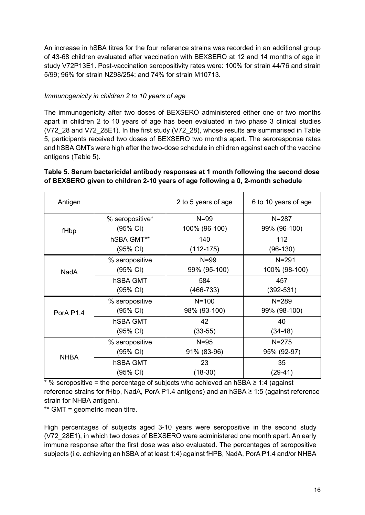An increase in hSBA titres for the four reference strains was recorded in an additional group of 43-68 children evaluated after vaccination with BEXSERO at 12 and 14 months of age in study V72P13E1. Post-vaccination seropositivity rates were: 100% for strain 44/76 and strain 5/99; 96% for strain NZ98/254; and 74% for strain M10713.

#### *Immunogenicity in children 2 to 10 years of age*

The immunogenicity after two doses of BEXSERO administered either one or two months apart in children 2 to 10 years of age has been evaluated in two phase 3 clinical studies (V72\_28 and V72\_28E1). In the first study (V72\_28), whose results are summarised in Table 5, participants received two doses of BEXSERO two months apart. The seroresponse rates and hSBA GMTs were high after the two-dose schedule in children against each of the vaccine antigens (Table 5).

#### **Table 5. Serum bactericidal antibody responses at 1 month following the second dose of BEXSERO given to children 2-10 years of age following a 0, 2-month schedule**

| Antigen     |                 | 2 to 5 years of age | 6 to 10 years of age |
|-------------|-----------------|---------------------|----------------------|
|             | % seropositive* | $N = 99$            | $N = 287$            |
| fHbp        | (95% CI)        | 100% (96-100)       | 99% (96-100)         |
|             | hSBA GMT**      | 140                 | 112                  |
|             | (95% CI)        | $(112-175)$         | $(96-130)$           |
|             | % seropositive  | $N = 99$            | $N = 291$            |
| <b>NadA</b> | (95% CI)        | 99% (95-100)        | 100% (98-100)        |
|             | hSBA GMT        | 584                 | 457                  |
|             | (95% CI)        | $(466 - 733)$       | $(392 - 531)$        |
|             | % seropositive  | $N = 100$           | $N = 289$            |
| PorA P1.4   | (95% CI)        | 98% (93-100)        | 99% (98-100)         |
|             | hSBA GMT        | 42                  | 40                   |
|             | (95% CI)        | $(33-55)$           | $(34-48)$            |
|             | % seropositive  | $N = 95$            | $N = 275$            |
| <b>NHBA</b> | (95% CI)        | 91% (83-96)         | 95% (92-97)          |
|             | hSBA GMT        | 23                  | 35                   |
|             | (95% CI)        | $(18-30)$           | (29-41)              |

\* % seropositive = the percentage of subjects who achieved an hSBA  $\geq$  1:4 (against reference strains for fHbp, NadA, PorA P1.4 antigens) and an hSBA ≥ 1:5 (against reference strain for NHBA antigen).

\*\* GMT = geometric mean titre.

High percentages of subjects aged 3-10 years were seropositive in the second study (V72\_28E1), in which two doses of BEXSERO were administered one month apart. An early immune response after the first dose was also evaluated. The percentages of seropositive subjects (i.e. achieving an hSBA of at least 1:4) against fHPB, NadA, PorA P1.4 and/or NHBA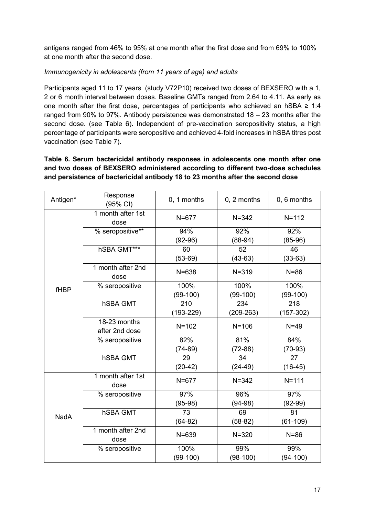antigens ranged from 46% to 95% at one month after the first dose and from 69% to 100% at one month after the second dose.

### *Immunogenicity in adolescents (from 11 years of age) and adults*

Participants aged 11 to 17 years (study V72P10) received two doses of BEXSERO with a 1, 2 or 6 month interval between doses. Baseline GMTs ranged from 2.64 to 4.11. As early as one month after the first dose, percentages of participants who achieved an  $hSBA \geq 1:4$ ranged from 90% to 97%. Antibody persistence was demonstrated 18 – 23 months after the second dose. (see Table 6). Independent of pre-vaccination seropositivity status, a high percentage of participants were seropositive and achieved 4-fold increases in hSBA titres post vaccination (see Table 7).

#### **Table 6. Serum bactericidal antibody responses in adolescents one month after one and two doses of BEXSERO administered according to different two-dose schedules and persistence of bactericidal antibody 18 to 23 months after the second dose**

| Antigen*    | Response<br>(95% CI)           | 0, 1 months   | 0, 2 months | 0, 6 months     |
|-------------|--------------------------------|---------------|-------------|-----------------|
|             | 1 month after 1st<br>dose      | $N = 677$     | $N = 342$   | $N = 112$       |
|             | % seropositive**               | 94%           | 92%         | 92%             |
|             |                                | $(92-96)$     | $(88-94)$   | $(85-96)$       |
|             | hSBA GMT***                    | 60            | 52          | 46              |
|             |                                | $(53-69)$     | $(43-63)$   | $(33-63)$       |
|             | 1 month after 2nd<br>dose      | $N = 638$     | $N = 319$   | $N = 86$        |
| fHBP        | % seropositive                 | 100%          | 100%        | 100%            |
|             |                                | $(99-100)$    | $(99-100)$  | $(99-100)$      |
|             | <b>hSBA GMT</b>                | 210           | 234         | 218             |
|             |                                | $(193 - 229)$ | $(209-263)$ | $(157-302)$     |
|             | 18-23 months<br>after 2nd dose | $N = 102$     | $N = 106$   | $N=49$          |
|             | % seropositive                 | 82%           | 81%         | 84%             |
|             |                                | $(74-89)$     | $(72-88)$   | $(70-93)$       |
|             | <b>hSBA GMT</b>                | 29            | 34          | $\overline{27}$ |
|             |                                | $(20-42)$     | $(24-49)$   | $(16-45)$       |
|             | 1 month after 1st<br>dose      | $N = 677$     | $N = 342$   | $N = 111$       |
|             | % seropositive                 | 97%           | 96%         | 97%             |
|             |                                | $(95-98)$     | $(94-98)$   | $(92-99)$       |
| <b>NadA</b> | <b>hSBA GMT</b>                | 73            | 69          | 81              |
|             |                                | $(64-82)$     | $(58-82)$   | $(61-109)$      |
|             | 1 month after 2nd<br>dose      | $N = 639$     | $N = 320$   | $N = 86$        |
|             | % seropositive                 | 100%          | 99%         | 99%             |
|             |                                | $(99-100)$    | $(98-100)$  | $(94-100)$      |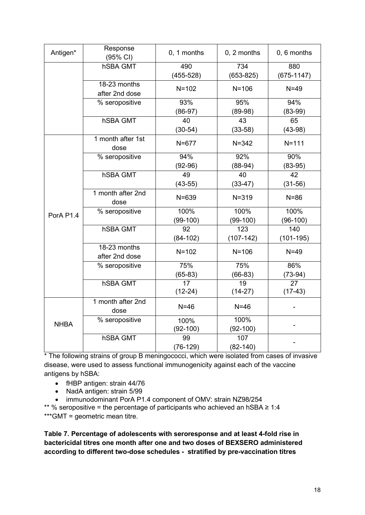| Antigen*    | Response<br>(95% CI)           | 0, 1 months   | 0, 2 months   | 0, 6 months    |
|-------------|--------------------------------|---------------|---------------|----------------|
|             | <b>hSBA GMT</b>                | 490           | 734           | 880            |
|             |                                | $(455 - 528)$ | $(653 - 825)$ | $(675 - 1147)$ |
|             | 18-23 months<br>after 2nd dose | $N = 102$     | $N = 106$     | $N=49$         |
|             | % seropositive                 | 93%           | 95%           | 94%            |
|             |                                | $(86-97)$     | $(89-98)$     | $(83-99)$      |
|             | <b>hSBA GMT</b>                | 40            | 43            | 65             |
|             |                                | $(30-54)$     | $(33-58)$     | $(43-98)$      |
|             | 1 month after 1st<br>dose      | $N = 677$     | $N = 342$     | $N = 111$      |
|             | % seropositive                 | 94%           | 92%           | 90%            |
|             |                                | $(92-96)$     | $(88-94)$     | $(83-95)$      |
|             | <b>hSBA GMT</b>                | 49            | 40            | 42             |
|             |                                | $(43-55)$     | $(33-47)$     | $(31-56)$      |
|             | 1 month after 2nd<br>dose      | $N = 639$     | $N = 319$     | $N = 86$       |
| PorA P1.4   | % seropositive                 | 100%          | 100%          | 100%           |
|             |                                | $(99-100)$    | $(99-100)$    | $(96-100)$     |
|             | hSBA GMT                       | 92            | 123           | 140            |
|             |                                | $(84-102)$    | $(107-142)$   | $(101 - 195)$  |
|             | 18-23 months<br>after 2nd dose | $N = 102$     | $N = 106$     | $N=49$         |
|             | % seropositive                 | 75%           | 75%           | 86%            |
|             |                                | $(65-83)$     | $(66-83)$     | $(73-94)$      |
|             | hSBA GMT                       | 17            | 19            | 27             |
|             |                                | $(12-24)$     | $(14-27)$     | $(17-43)$      |
|             | 1 month after 2nd<br>dose      | $N=46$        | $N=46$        |                |
| <b>NHBA</b> | % seropositive                 | 100%          | 100%          |                |
|             |                                | $(92-100)$    | $(92-100)$    |                |
|             | <b>hSBA GMT</b>                | 99            | 107           |                |
|             |                                | $(76-129)$    | $(82 - 140)$  |                |

\* The following strains of group B meningococci, which were isolated from cases of invasive disease, were used to assess functional immunogenicity against each of the vaccine antigens by hSBA:

- fHBP antigen: strain 44/76
- NadA antigen: strain 5/99
- immunodominant PorA P1.4 component of OMV: strain NZ98/254
- \*\* % seropositive = the percentage of participants who achieved an hSBA ≥ 1:4

\*\*\*GMT = geometric mean titre.

**Table 7. Percentage of adolescents with seroresponse and at least 4-fold rise in bactericidal titres one month after one and two doses of BEXSERO administered according to different two-dose schedules - stratified by pre-vaccination titres**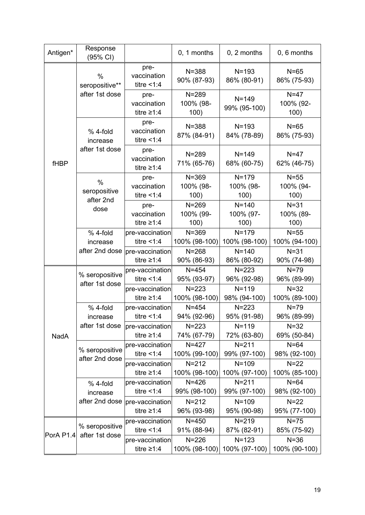| Antigen*    | Response<br>(95% CI)              |                                         | 0, 1 months                    | $0, 2$ months                  | 0, 6 months                   |
|-------------|-----------------------------------|-----------------------------------------|--------------------------------|--------------------------------|-------------------------------|
|             | $\frac{0}{0}$<br>seropositive**   | pre-<br>vaccination<br>titre $<$ 1:4    | $N = 388$<br>90% (87-93)       | $N = 193$<br>86% (80-91)       | $N=65$<br>86% (75-93)         |
|             | after 1st dose                    | pre-<br>vaccination<br>titre $\geq 1:4$ | $N = 289$<br>100% (98-<br>100) | $N = 149$<br>99% (95-100)      | $N=47$<br>100% (92-<br>100)   |
|             | % 4-fold<br>increase              | pre-<br>vaccination<br>titre $<$ 1:4    | $N = 388$<br>87% (84-91)       | $N = 193$<br>84% (78-89)       | $N = 65$<br>86% (75-93)       |
| fHBP        | after 1st dose                    | pre-<br>vaccination<br>titre $\geq 1:4$ | $N = 289$<br>71% (65-76)       | $N = 149$<br>68% (60-75)       | $N=47$<br>62% (46-75)         |
|             | $\%$<br>seropositive<br>after 2nd | pre-<br>vaccination<br>titre $<$ 1:4    | $N = 369$<br>100% (98-<br>100) | $N = 179$<br>100% (98-<br>100) | $N=55$<br>100% (94-<br>100)   |
|             | dose                              | pre-<br>vaccination<br>titre $\geq 1:4$ | $N = 269$<br>100% (99-<br>100) | $N = 140$<br>100% (97-<br>100) | $N = 31$<br>100% (89-<br>100) |
|             | % 4-fold<br>increase              | pre-vaccination<br>titre $<$ 1:4        | $N = 369$<br>100% (98-100)     | $N = 179$<br>100% (98-100)     | $N=55$<br>100% (94-100)       |
|             | after 2nd dose                    | pre-vaccination<br>titre $\geq 1:4$     | $N = 268$<br>90% (86-93)       | $N = 140$<br>86% (80-92)       | $N = 31$<br>90% (74-98)       |
|             | % seropositive<br>after 1st dose  | pre-vaccination<br>titre $<$ 1:4        | $N = 454$<br>95% (93-97)       | $N = 223$<br>96% (92-98)       | $N=79$<br>96% (89-99)         |
|             |                                   | pre-vaccination<br>titre $\geq 1:4$     | $N = 223$<br>100% (98-100)     | $N = 119$<br>98% (94-100)      | $N = 32$<br>100% (89-100)     |
|             | % 4-fold<br>increase              | pre-vaccination<br>titre $\leq 1:4$     | $N = 454$<br>94% (92-96)       | $N = 223$<br>95% (91-98)       | $N = 79$<br>96% (89-99)       |
| <b>NadA</b> | after 1st dose                    | pre-vaccination<br>titre $\geq 1:4$     | $N = 223$<br>74% (67-79)       | $N = 119$<br>72% (63-80)       | $N = 32$<br>69% (50-84)       |
|             | % seropositive<br>after 2nd dose  | pre-vaccination<br>titre $<$ 1:4        | $N = 427$<br>100% (99-100)     | $N = 211$<br>99% (97-100)      | $N = 64$<br>98% (92-100)      |
|             |                                   | pre-vaccination<br>titre $\geq 1:4$     | $N = 212$<br>100% (98-100)     | $N = 109$<br>100% (97-100)     | $N=22$<br>100% (85-100)       |
|             | $% 4$ -fold<br>increase           | pre-vaccination<br>titre $<$ 1:4        | $N = 426$<br>99% (98-100)      | $N = 211$<br>99% (97-100)      | $N = 64$<br>98% (92-100)      |
|             | after 2nd dose                    | pre-vaccination<br>titre $\geq 1:4$     | $N = 212$<br>96% (93-98)       | $N = 109$<br>95% (90-98)       | $N=22$<br>95% (77-100)        |
|             | % seropositive                    | pre-vaccination<br>titre $<$ 1:4        | $N = 450$<br>91% (88-94)       | $N = 219$<br>87% (82-91)       | $N=75$<br>85% (75-92)         |
| PorA P1.4   | after 1st dose                    | pre-vaccination<br>titre $\geq 1:4$     | $N = 226$<br>100% (98-100)     | $N = 123$<br>100% (97-100)     | $N = 36$<br>100% (90-100)     |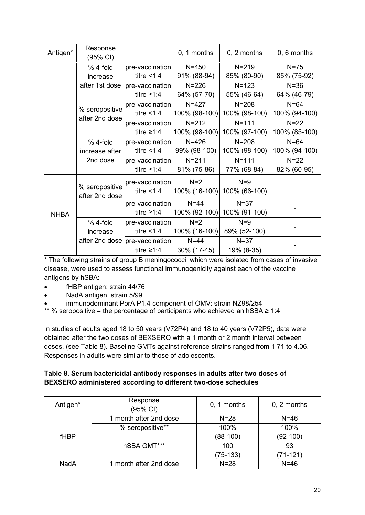| Antigen*    | Response<br>(95% CI)             |                  | 0, 1 months   | $0, 2$ months | 0, 6 months   |
|-------------|----------------------------------|------------------|---------------|---------------|---------------|
|             | $% 4$ -fold                      | pre-vaccination  | $N = 450$     | $N = 219$     | $N=75$        |
|             | increase                         | titre $<$ 1:4    | 91% (88-94)   | 85% (80-90)   | 85% (75-92)   |
|             | after 1st dose                   | pre-vaccination  | $N = 226$     | $N = 123$     | $N = 36$      |
|             |                                  | titre $\geq 1:4$ | 64% (57-70)   | 55% (46-64)   | 64% (46-79)   |
|             |                                  | pre-vaccination  | $N = 427$     | $N = 208$     | $N = 64$      |
|             | % seropositive<br>after 2nd dose | titre $<$ 1:4    | 100% (98-100) | 100% (98-100) | 100% (94-100) |
|             |                                  | pre-vaccination  | $N = 212$     | $N = 111$     | $N=22$        |
|             |                                  | titre $\geq 1:4$ | 100% (98-100) | 100% (97-100) | 100% (85-100) |
|             | $% 4$ -fold                      | pre-vaccination  | $N = 426$     | $N = 208$     | $N = 64$      |
|             | increase after                   | titre $<$ 1:4    | 99% (98-100)  | 100% (98-100) | 100% (94-100) |
|             | 2nd dose                         | pre-vaccination  | $N = 211$     | $N = 111$     | $N=22$        |
|             |                                  | titre $\geq 1:4$ | 81% (75-86)   | 77% (68-84)   | 82% (60-95)   |
|             |                                  | pre-vaccination  | $N=2$         | $N=9$         |               |
|             | % seropositive<br>after 2nd dose | titre $<$ 1:4    | 100% (16-100) | 100% (66-100) |               |
|             |                                  | pre-vaccination  | $N = 44$      | $N=37$        |               |
| <b>NHBA</b> |                                  | titre $\geq 1:4$ | 100% (92-100) | 100% (91-100) |               |
|             | $% 4$ -fold                      | pre-vaccination  | $N=2$         | $N=9$         |               |
|             | increase                         | titre $<$ 1:4    | 100% (16-100) | 89% (52-100)  |               |
|             | after 2nd dose                   | pre-vaccination  | $N = 44$      | $N=37$        |               |
|             |                                  | titre $\geq 1:4$ | 30% (17-45)   | 19% (8-35)    |               |

\* The following strains of group B meningococci, which were isolated from cases of invasive disease, were used to assess functional immunogenicity against each of the vaccine antigens by hSBA:

- fHBP antigen: strain 44/76
- NadA antigen: strain 5/99
- immunodominant PorA P1.4 component of OMV: strain NZ98/254
- \*\* % seropositive = the percentage of participants who achieved an hSBA  $\geq 1:4$

In studies of adults aged 18 to 50 years (V72P4) and 18 to 40 years (V72P5), data were obtained after the two doses of BEXSERO with a 1 month or 2 month interval between doses. (see Table 8). Baseline GMTs against reference strains ranged from 1.71 to 4.06. Responses in adults were similar to those of adolescents.

### **Table 8. Serum bactericidal antibody responses in adults after two doses of BEXSERO administered according to different two-dose schedules**

| Antigen*    | Response<br>(95% CI)   | 0, 1 months | $0, 2$ months |
|-------------|------------------------|-------------|---------------|
| fHBP        | 1 month after 2nd dose | $N = 28$    | $N=46$        |
|             | % seropositive**       | 100%        | 100%          |
|             |                        | $(88-100)$  | $(92-100)$    |
|             | hSBA GMT***            | 100         | 93            |
|             |                        | $(75-133)$  | $(71-121)$    |
| <b>NadA</b> | 1 month after 2nd dose | $N = 28$    | $N=46$        |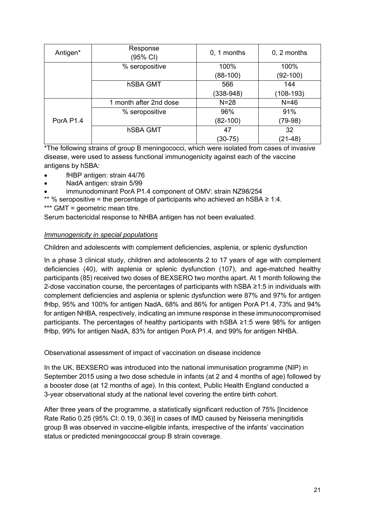| Antigen*  | Response<br>(95% CI)   | 0, 1 months | $0, 2$ months |
|-----------|------------------------|-------------|---------------|
|           | % seropositive         | 100%        | 100%          |
|           |                        | $(88-100)$  | $(92-100)$    |
|           | hSBA GMT               | 566         | 144           |
|           |                        | $(338-948)$ | $(108-193)$   |
| PorA P1.4 | 1 month after 2nd dose | $N = 28$    | $N = 46$      |
|           | % seropositive         | 96%         | 91%           |
|           |                        | $(82-100)$  | (79-98)       |
|           | hSBA GMT               | 47          | 32            |
|           |                        | (30-75)     | (21-48)       |

\*The following strains of group B meningococci, which were isolated from cases of invasive disease, were used to assess functional immunogenicity against each of the vaccine antigens by hSBA:

- fHBP antigen: strain 44/76
- NadA antigen: strain 5/99
- immunodominant PorA P1.4 component of OMV: strain NZ98/254
- \*\* % seropositive = the percentage of participants who achieved an hSBA ≥ 1:4.

\*\*\* GMT = geometric mean titre.

Serum bactericidal response to NHBA antigen has not been evaluated.

#### *Immunogenicity in special populations*

Children and adolescents with complement deficiencies, asplenia, or splenic dysfunction

In a phase 3 clinical study, children and adolescents 2 to 17 years of age with complement deficiencies (40), with asplenia or splenic dysfunction (107), and age-matched healthy participants (85) received two doses of BEXSERO two months apart. At 1 month following the 2-dose vaccination course, the percentages of participants with hSBA ≥1:5 in individuals with complement deficiencies and asplenia or splenic dysfunction were 87% and 97% for antigen fHbp, 95% and 100% for antigen NadA, 68% and 86% for antigen PorA P1.4, 73% and 94% for antigen NHBA, respectively, indicating an immune response in these immunocompromised participants. The percentages of healthy participants with hSBA ≥1:5 were 98% for antigen fHbp, 99% for antigen NadA, 83% for antigen PorA P1.4, and 99% for antigen NHBA.

Observational assessment of impact of vaccination on disease incidence

In the UK, BEXSERO was introduced into the national immunisation programme (NIP) in September 2015 using a two dose schedule in infants (at 2 and 4 months of age) followed by a booster dose (at 12 months of age). In this context, Public Health England conducted a 3-year observational study at the national level covering the entire birth cohort.

After three years of the programme, a statistically significant reduction of 75% [Incidence Rate Ratio 0.25 (95% CI: 0.19, 0.36)] in cases of IMD caused by Neisseria meningitidis group B was observed in vaccine-eligible infants, irrespective of the infants' vaccination status or predicted meningococcal group B strain coverage.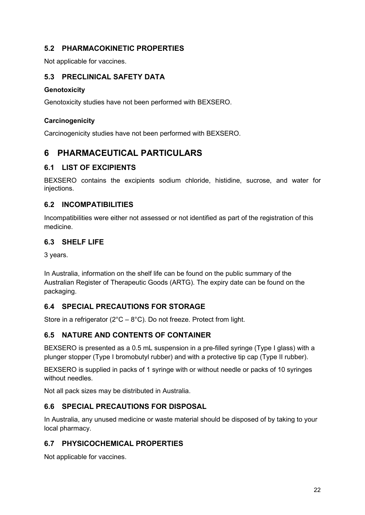## **5.2 PHARMACOKINETIC PROPERTIES**

Not applicable for vaccines.

## **5.3 PRECLINICAL SAFETY DATA**

#### **Genotoxicity**

Genotoxicity studies have not been performed with BEXSERO.

#### **Carcinogenicity**

Carcinogenicity studies have not been performed with BEXSERO.

## **6 PHARMACEUTICAL PARTICULARS**

## **6.1 LIST OF EXCIPIENTS**

BEXSERO contains the excipients sodium chloride, histidine, sucrose, and water for injections.

### **6.2 INCOMPATIBILITIES**

Incompatibilities were either not assessed or not identified as part of the registration of this medicine.

### **6.3 SHELF LIFE**

3 years.

In Australia, information on the shelf life can be found on the public summary of the Australian Register of Therapeutic Goods (ARTG). The expiry date can be found on the packaging.

## **6.4 SPECIAL PRECAUTIONS FOR STORAGE**

Store in a refrigerator (2°C – 8°C). Do not freeze. Protect from light.

## **6.5 NATURE AND CONTENTS OF CONTAINER**

BEXSERO is presented as a 0.5 mL suspension in a pre-filled syringe (Type I glass) with a plunger stopper (Type I bromobutyl rubber) and with a protective tip cap (Type II rubber).

BEXSERO is supplied in packs of 1 syringe with or without needle or packs of 10 syringes without needles.

Not all pack sizes may be distributed in Australia.

## **6.6 SPECIAL PRECAUTIONS FOR DISPOSAL**

In Australia, any unused medicine or waste material should be disposed of by taking to your local pharmacy.

## **6.7 PHYSICOCHEMICAL PROPERTIES**

Not applicable for vaccines.